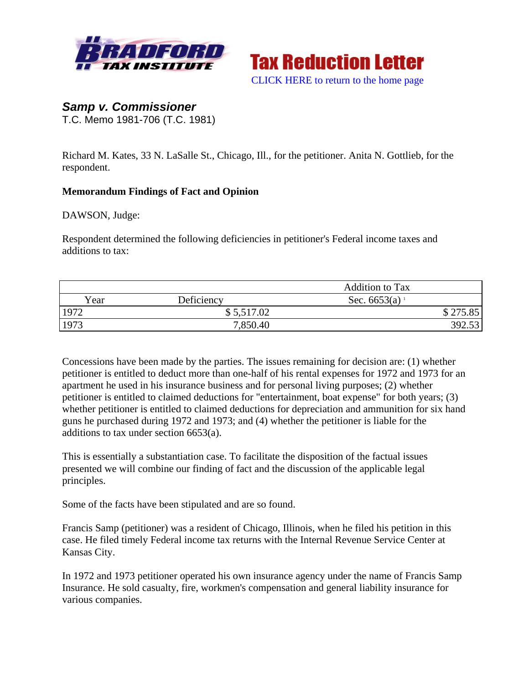



# *Samp v. Commissioner*

T.C. Memo 1981-706 (T.C. 1981)

Richard M. Kates, 33 N. LaSalle St., Chicago, Ill., for the petitioner. Anita N. Gottlieb, for the respondent.

### **Memorandum Findings of Fact and Opinion**

DAWSON, Judge:

Respondent determined the following deficiencies in petitioner's Federal income taxes and additions to tax:

|      |            | <b>Addition to Tax</b>      |          |
|------|------------|-----------------------------|----------|
| Year | Deficiency | Sec. $6653(a)$ <sup>1</sup> |          |
| 1972 | \$5,517.02 |                             | \$275.85 |
| 1973 | 7,850.40   |                             | 392.53   |

Concessions have been made by the parties. The issues remaining for decision are: (1) whether petitioner is entitled to deduct more than one-half of his rental expenses for 1972 and 1973 for an apartment he used in his insurance business and for personal living purposes; (2) whether petitioner is entitled to claimed deductions for "entertainment, boat expense" for both years; (3) whether petitioner is entitled to claimed deductions for depreciation and ammunition for six hand guns he purchased during 1972 and 1973; and (4) whether the petitioner is liable for the additions to tax under section 6653(a).

This is essentially a substantiation case. To facilitate the disposition of the factual issues presented we will combine our finding of fact and the discussion of the applicable legal principles.

Some of the facts have been stipulated and are so found.

Francis Samp (petitioner) was a resident of Chicago, Illinois, when he filed his petition in this case. He filed timely Federal income tax returns with the Internal Revenue Service Center at Kansas City.

In 1972 and 1973 petitioner operated his own insurance agency under the name of Francis Samp Insurance. He sold casualty, fire, workmen's compensation and general liability insurance for various companies.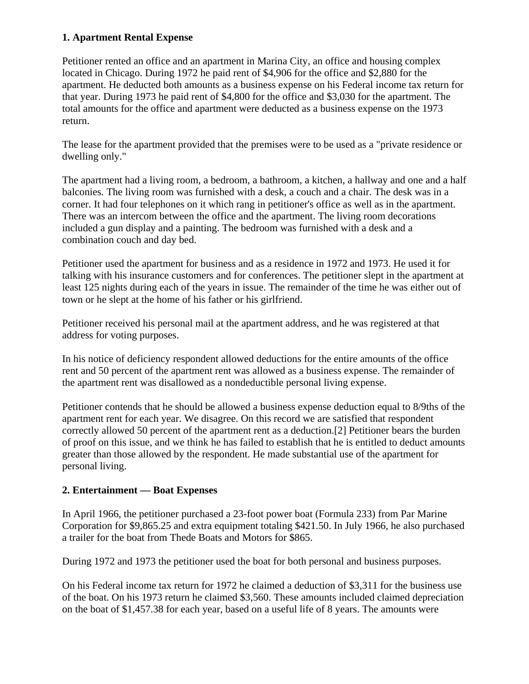## **1. Apartment Rental Expense**

Petitioner rented an office and an apartment in Marina City, an office and housing complex located in Chicago. During 1972 he paid rent of \$4,906 for the office and \$2,880 for the apartment. He deducted both amounts as a business expense on his Federal income tax return for that year. During 1973 he paid rent of \$4,800 for the office and \$3,030 for the apartment. The total amounts for the office and apartment were deducted as a business expense on the 1973 return.

The lease for the apartment provided that the premises were to be used as a "private residence or dwelling only."

The apartment had a living room, a bedroom, a bathroom, a kitchen, a hallway and one and a half balconies. The living room was furnished with a desk, a couch and a chair. The desk was in a corner. It had four telephones on it which rang in petitioner's office as well as in the apartment. There was an intercom between the office and the apartment. The living room decorations included a gun display and a painting. The bedroom was furnished with a desk and a combination couch and day bed.

Petitioner used the apartment for business and as a residence in 1972 and 1973. He used it for talking with his insurance customers and for conferences. The petitioner slept in the apartment at least 125 nights during each of the years in issue. The remainder of the time he was either out of town or he slept at the home of his father or his girlfriend.

Petitioner received his personal mail at the apartment address, and he was registered at that address for voting purposes.

In his notice of deficiency respondent allowed deductions for the entire amounts of the office rent and 50 percent of the apartment rent was allowed as a business expense. The remainder of the apartment rent was disallowed as a nondeductible personal living expense.

Petitioner contends that he should be allowed a business expense deduction equal to 8/9ths of the apartment rent for each year. We disagree. On this record we are satisfied that respondent correctly allowed 50 percent of the apartment rent as a deduction.[2] Petitioner bears the burden of proof on this issue, and we think he has failed to establish that he is entitled to deduct amounts greater than those allowed by the respondent. He made substantial use of the apartment for personal living.

#### **2. Entertainment — Boat Expenses**

In April 1966, the petitioner purchased a 23-foot power boat (Formula 233) from Par Marine Corporation for \$9,865.25 and extra equipment totaling \$421.50. In July 1966, he also purchased a trailer for the boat from Thede Boats and Motors for \$865.

During 1972 and 1973 the petitioner used the boat for both personal and business purposes.

On his Federal income tax return for 1972 he claimed a deduction of \$3,311 for the business use of the boat. On his 1973 return he claimed \$3,560. These amounts included claimed depreciation on the boat of \$1,457.38 for each year, based on a useful life of 8 years. The amounts were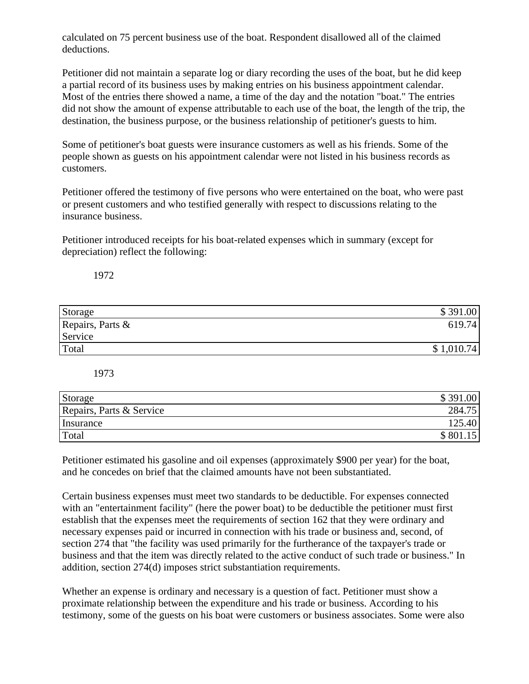calculated on 75 percent business use of the boat. Respondent disallowed all of the claimed deductions.

Petitioner did not maintain a separate log or diary recording the uses of the boat, but he did keep a partial record of its business uses by making entries on his business appointment calendar. Most of the entries there showed a name, a time of the day and the notation "boat." The entries did not show the amount of expense attributable to each use of the boat, the length of the trip, the destination, the business purpose, or the business relationship of petitioner's guests to him.

Some of petitioner's boat guests were insurance customers as well as his friends. Some of the people shown as guests on his appointment calendar were not listed in his business records as customers.

Petitioner offered the testimony of five persons who were entertained on the boat, who were past or present customers and who testified generally with respect to discussions relating to the insurance business.

Petitioner introduced receipts for his boat-related expenses which in summary (except for depreciation) reflect the following:

1972

| Storage          | \$391.00   |
|------------------|------------|
| Repairs, Parts & | 619.74     |
| Service          |            |
| Total            | \$1,010.74 |

1973

| Storage                  | \$391.00 |
|--------------------------|----------|
| Repairs, Parts & Service | 284.75   |
| Insurance                | 125.40   |
| Total                    | \$801    |

Petitioner estimated his gasoline and oil expenses (approximately \$900 per year) for the boat, and he concedes on brief that the claimed amounts have not been substantiated.

Certain business expenses must meet two standards to be deductible. For expenses connected with an "entertainment facility" (here the power boat) to be deductible the petitioner must first establish that the expenses meet the requirements of section 162 that they were ordinary and necessary expenses paid or incurred in connection with his trade or business and, second, of section 274 that "the facility was used primarily for the furtherance of the taxpayer's trade or business and that the item was directly related to the active conduct of such trade or business." In addition, section 274(d) imposes strict substantiation requirements.

Whether an expense is ordinary and necessary is a question of fact. Petitioner must show a proximate relationship between the expenditure and his trade or business. According to his testimony, some of the guests on his boat were customers or business associates. Some were also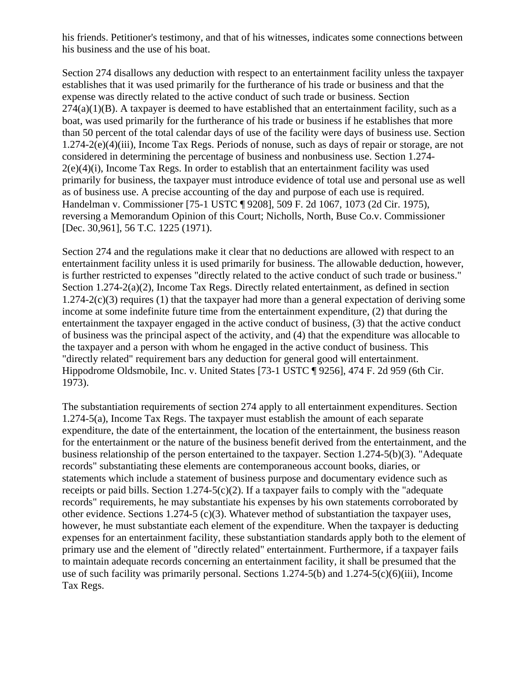his friends. Petitioner's testimony, and that of his witnesses, indicates some connections between his business and the use of his boat.

Section 274 disallows any deduction with respect to an entertainment facility unless the taxpayer establishes that it was used primarily for the furtherance of his trade or business and that the expense was directly related to the active conduct of such trade or business. Section  $274(a)(1)(B)$ . A taxpayer is deemed to have established that an entertainment facility, such as a boat, was used primarily for the furtherance of his trade or business if he establishes that more than 50 percent of the total calendar days of use of the facility were days of business use. Section 1.274-2(e)(4)(iii), Income Tax Regs. Periods of nonuse, such as days of repair or storage, are not considered in determining the percentage of business and nonbusiness use. Section 1.274-  $2(e)(4)(i)$ , Income Tax Regs. In order to establish that an entertainment facility was used primarily for business, the taxpayer must introduce evidence of total use and personal use as well as of business use. A precise accounting of the day and purpose of each use is required. Handelman v. Commissioner [75-1 USTC ¶ 9208], 509 F. 2d 1067, 1073 (2d Cir. 1975), reversing a Memorandum Opinion of this Court; Nicholls, North, Buse Co.v. Commissioner [Dec. 30,961], 56 T.C. 1225 (1971).

Section 274 and the regulations make it clear that no deductions are allowed with respect to an entertainment facility unless it is used primarily for business. The allowable deduction, however, is further restricted to expenses "directly related to the active conduct of such trade or business." Section 1.274-2(a)(2), Income Tax Regs. Directly related entertainment, as defined in section 1.274-2(c)(3) requires (1) that the taxpayer had more than a general expectation of deriving some income at some indefinite future time from the entertainment expenditure, (2) that during the entertainment the taxpayer engaged in the active conduct of business, (3) that the active conduct of business was the principal aspect of the activity, and (4) that the expenditure was allocable to the taxpayer and a person with whom he engaged in the active conduct of business. This "directly related" requirement bars any deduction for general good will entertainment. Hippodrome Oldsmobile, Inc. v. United States [73-1 USTC ¶ 9256], 474 F. 2d 959 (6th Cir. 1973).

The substantiation requirements of section 274 apply to all entertainment expenditures. Section 1.274-5(a), Income Tax Regs. The taxpayer must establish the amount of each separate expenditure, the date of the entertainment, the location of the entertainment, the business reason for the entertainment or the nature of the business benefit derived from the entertainment, and the business relationship of the person entertained to the taxpayer. Section 1.274-5(b)(3). "Adequate records" substantiating these elements are contemporaneous account books, diaries, or statements which include a statement of business purpose and documentary evidence such as receipts or paid bills. Section 1.274-5(c)(2). If a taxpayer fails to comply with the "adequate" records" requirements, he may substantiate his expenses by his own statements corroborated by other evidence. Sections 1.274-5 (c)(3). Whatever method of substantiation the taxpayer uses, however, he must substantiate each element of the expenditure. When the taxpayer is deducting expenses for an entertainment facility, these substantiation standards apply both to the element of primary use and the element of "directly related" entertainment. Furthermore, if a taxpayer fails to maintain adequate records concerning an entertainment facility, it shall be presumed that the use of such facility was primarily personal. Sections  $1.274-5(b)$  and  $1.274-5(c)(6)(iii)$ , Income Tax Regs.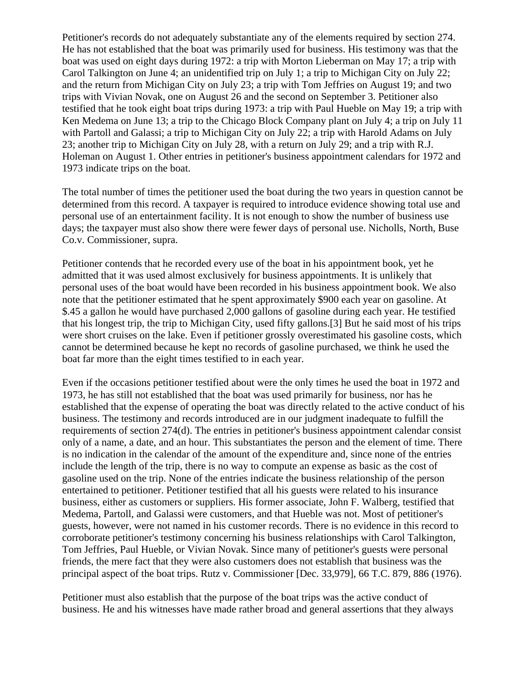Petitioner's records do not adequately substantiate any of the elements required by section 274. He has not established that the boat was primarily used for business. His testimony was that the boat was used on eight days during 1972: a trip with Morton Lieberman on May 17; a trip with Carol Talkington on June 4; an unidentified trip on July 1; a trip to Michigan City on July 22; and the return from Michigan City on July 23; a trip with Tom Jeffries on August 19; and two trips with Vivian Novak, one on August 26 and the second on September 3. Petitioner also testified that he took eight boat trips during 1973: a trip with Paul Hueble on May 19; a trip with Ken Medema on June 13; a trip to the Chicago Block Company plant on July 4; a trip on July 11 with Partoll and Galassi; a trip to Michigan City on July 22; a trip with Harold Adams on July 23; another trip to Michigan City on July 28, with a return on July 29; and a trip with R.J. Holeman on August 1. Other entries in petitioner's business appointment calendars for 1972 and 1973 indicate trips on the boat.

The total number of times the petitioner used the boat during the two years in question cannot be determined from this record. A taxpayer is required to introduce evidence showing total use and personal use of an entertainment facility. It is not enough to show the number of business use days; the taxpayer must also show there were fewer days of personal use. Nicholls, North, Buse Co.v. Commissioner, supra.

Petitioner contends that he recorded every use of the boat in his appointment book, yet he admitted that it was used almost exclusively for business appointments. It is unlikely that personal uses of the boat would have been recorded in his business appointment book. We also note that the petitioner estimated that he spent approximately \$900 each year on gasoline. At \$.45 a gallon he would have purchased 2,000 gallons of gasoline during each year. He testified that his longest trip, the trip to Michigan City, used fifty gallons.[3] But he said most of his trips were short cruises on the lake. Even if petitioner grossly overestimated his gasoline costs, which cannot be determined because he kept no records of gasoline purchased, we think he used the boat far more than the eight times testified to in each year.

Even if the occasions petitioner testified about were the only times he used the boat in 1972 and 1973, he has still not established that the boat was used primarily for business, nor has he established that the expense of operating the boat was directly related to the active conduct of his business. The testimony and records introduced are in our judgment inadequate to fulfill the requirements of section 274(d). The entries in petitioner's business appointment calendar consist only of a name, a date, and an hour. This substantiates the person and the element of time. There is no indication in the calendar of the amount of the expenditure and, since none of the entries include the length of the trip, there is no way to compute an expense as basic as the cost of gasoline used on the trip. None of the entries indicate the business relationship of the person entertained to petitioner. Petitioner testified that all his guests were related to his insurance business, either as customers or suppliers. His former associate, John F. Walberg, testified that Medema, Partoll, and Galassi were customers, and that Hueble was not. Most of petitioner's guests, however, were not named in his customer records. There is no evidence in this record to corroborate petitioner's testimony concerning his business relationships with Carol Talkington, Tom Jeffries, Paul Hueble, or Vivian Novak. Since many of petitioner's guests were personal friends, the mere fact that they were also customers does not establish that business was the principal aspect of the boat trips. Rutz v. Commissioner [Dec. 33,979], 66 T.C. 879, 886 (1976).

Petitioner must also establish that the purpose of the boat trips was the active conduct of business. He and his witnesses have made rather broad and general assertions that they always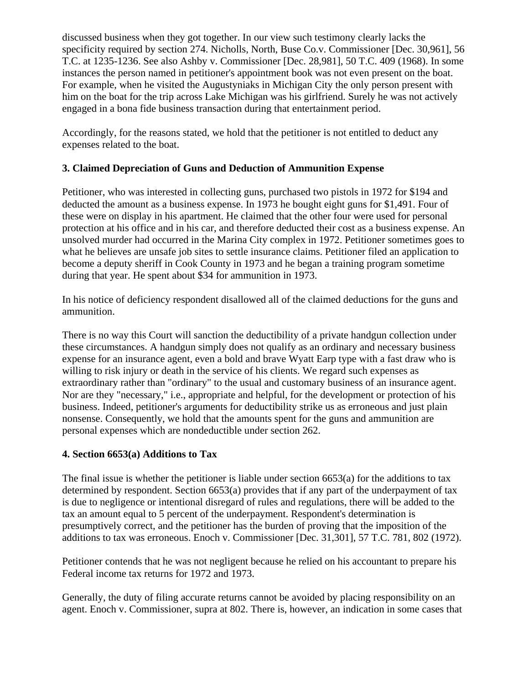discussed business when they got together. In our view such testimony clearly lacks the specificity required by section 274. Nicholls, North, Buse Co.v. Commissioner [Dec. 30,961], 56 T.C. at 1235-1236. See also Ashby v. Commissioner [Dec. 28,981], 50 T.C. 409 (1968). In some instances the person named in petitioner's appointment book was not even present on the boat. For example, when he visited the Augustyniaks in Michigan City the only person present with him on the boat for the trip across Lake Michigan was his girlfriend. Surely he was not actively engaged in a bona fide business transaction during that entertainment period.

Accordingly, for the reasons stated, we hold that the petitioner is not entitled to deduct any expenses related to the boat.

## **3. Claimed Depreciation of Guns and Deduction of Ammunition Expense**

Petitioner, who was interested in collecting guns, purchased two pistols in 1972 for \$194 and deducted the amount as a business expense. In 1973 he bought eight guns for \$1,491. Four of these were on display in his apartment. He claimed that the other four were used for personal protection at his office and in his car, and therefore deducted their cost as a business expense. An unsolved murder had occurred in the Marina City complex in 1972. Petitioner sometimes goes to what he believes are unsafe job sites to settle insurance claims. Petitioner filed an application to become a deputy sheriff in Cook County in 1973 and he began a training program sometime during that year. He spent about \$34 for ammunition in 1973.

In his notice of deficiency respondent disallowed all of the claimed deductions for the guns and ammunition.

There is no way this Court will sanction the deductibility of a private handgun collection under these circumstances. A handgun simply does not qualify as an ordinary and necessary business expense for an insurance agent, even a bold and brave Wyatt Earp type with a fast draw who is willing to risk injury or death in the service of his clients. We regard such expenses as extraordinary rather than "ordinary" to the usual and customary business of an insurance agent. Nor are they "necessary," i.e., appropriate and helpful, for the development or protection of his business. Indeed, petitioner's arguments for deductibility strike us as erroneous and just plain nonsense. Consequently, we hold that the amounts spent for the guns and ammunition are personal expenses which are nondeductible under section 262.

## **4. Section 6653(a) Additions to Tax**

The final issue is whether the petitioner is liable under section 6653(a) for the additions to tax determined by respondent. Section 6653(a) provides that if any part of the underpayment of tax is due to negligence or intentional disregard of rules and regulations, there will be added to the tax an amount equal to 5 percent of the underpayment. Respondent's determination is presumptively correct, and the petitioner has the burden of proving that the imposition of the additions to tax was erroneous. Enoch v. Commissioner [Dec. 31,301], 57 T.C. 781, 802 (1972).

Petitioner contends that he was not negligent because he relied on his accountant to prepare his Federal income tax returns for 1972 and 1973.

Generally, the duty of filing accurate returns cannot be avoided by placing responsibility on an agent. Enoch v. Commissioner, supra at 802. There is, however, an indication in some cases that